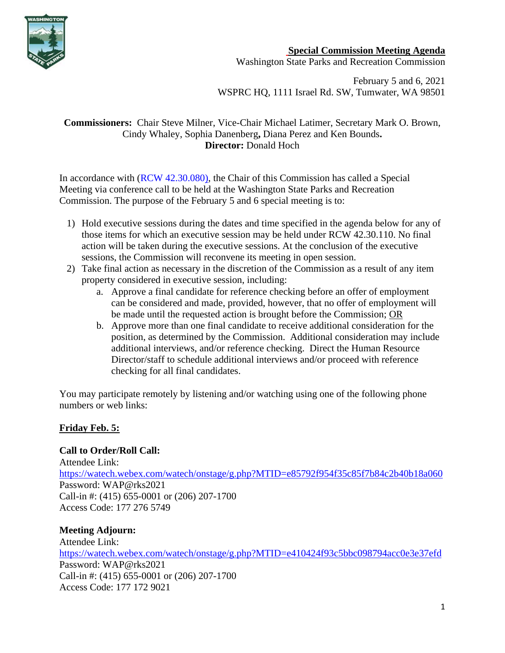

## **Special Commission Meeting Agenda**

Washington State Parks and Recreation Commission

February 5 and 6, 2021 WSPRC HQ, 1111 Israel Rd. SW, Tumwater, WA 98501

### **Commissioners:** Chair Steve Milner, Vice-Chair Michael Latimer, Secretary Mark O. Brown, Cindy Whaley, Sophia Danenberg**,** Diana Perez and Ken Bounds**. Director:** Donald Hoch

In accordance with [\(RCW 42.30.080\)](https://gcc02.safelinks.protection.outlook.com/?url=http%3A%2F%2Fapp.leg.wa.gov%2FRCW%2Fdefault.aspx%3Fcite%3D42.30.080&data=04%7C01%7CBecki.Ellison%40parks.wa.gov%7C9d0a10a54cda45f96e1a08d8a37f32d5%7C11d0e217264e400a8ba057dcc127d72d%7C0%7C0%7C637439113993792876%7CUnknown%7CTWFpbGZsb3d8eyJWIjoiMC4wLjAwMDAiLCJQIjoiV2luMzIiLCJBTiI6Ik1haWwiLCJXVCI6Mn0%3D%7C1000&sdata=dvFG7wtQixDX%2BxAzXhZJkkn%2Bo1RvVDrbL8ymhX5GnQg%3D&reserved=0), the Chair of this Commission has called a Special Meeting via conference call to be held at the Washington State Parks and Recreation Commission. The purpose of the February 5 and 6 special meeting is to:

- 1) Hold executive sessions during the dates and time specified in the agenda below for any of those items for which an executive session may be held under RCW 42.30.110. No final action will be taken during the executive sessions. At the conclusion of the executive sessions, the Commission will reconvene its meeting in open session.
- 2) Take final action as necessary in the discretion of the Commission as a result of any item property considered in executive session, including:
	- a. Approve a final candidate for reference checking before an offer of employment can be considered and made, provided, however, that no offer of employment will be made until the requested action is brought before the Commission; OR
	- b. Approve more than one final candidate to receive additional consideration for the position, as determined by the Commission. Additional consideration may include additional interviews, and/or reference checking. Direct the Human Resource Director/staff to schedule additional interviews and/or proceed with reference checking for all final candidates.

You may participate remotely by listening and/or watching using one of the following phone numbers or web links:

## **Friday Feb. 5:**

## **Call to Order/Roll Call:**

Attendee Link: [https://watech.webex.com/watech/onstage/g.php?MTID=e85792f954f35c85f7b84c2b40b18a060](https://gcc02.safelinks.protection.outlook.com/?url=https%3A%2F%2Fwatech.webex.com%2Fwatech%2Fonstage%2Fg.php%3FMTID%3De85792f954f35c85f7b84c2b40b18a060&data=04%7C01%7CBecki.Ellison%40parks.wa.gov%7C8abdf95e77434b35131808d8c329f296%7C11d0e217264e400a8ba057dcc127d72d%7C0%7C0%7C637473932234942266%7CUnknown%7CTWFpbGZsb3d8eyJWIjoiMC4wLjAwMDAiLCJQIjoiV2luMzIiLCJBTiI6Ik1haWwiLCJXVCI6Mn0%3D%7C1000&sdata=DtF1wxcgvyrSQg%2FwxNEMXfk61q2XOwRa5BKv4pbPTDE%3D&reserved=0) Password: WAP@rks2021 Call-in #: (415) 655-0001 or (206) 207-1700 Access Code: 177 276 5749

# **Meeting Adjourn:**

Attendee Link: [https://watech.webex.com/watech/onstage/g.php?MTID=e410424f93c5bbc098794acc0e3e37efd](https://gcc02.safelinks.protection.outlook.com/?url=https%3A%2F%2Fwatech.webex.com%2Fwatech%2Fonstage%2Fg.php%3FMTID%3De410424f93c5bbc098794acc0e3e37efd&data=04%7C01%7CBecki.Ellison%40parks.wa.gov%7C8abdf95e77434b35131808d8c329f296%7C11d0e217264e400a8ba057dcc127d72d%7C0%7C0%7C637473932234952222%7CUnknown%7CTWFpbGZsb3d8eyJWIjoiMC4wLjAwMDAiLCJQIjoiV2luMzIiLCJBTiI6Ik1haWwiLCJXVCI6Mn0%3D%7C1000&sdata=MJp499pWq2nC6eTbG0cewF4l0m0apsr7MA6DknIisE0%3D&reserved=0) Password: WAP@rks2021 Call-in #: (415) 655-0001 or (206) 207-1700 Access Code: 177 172 9021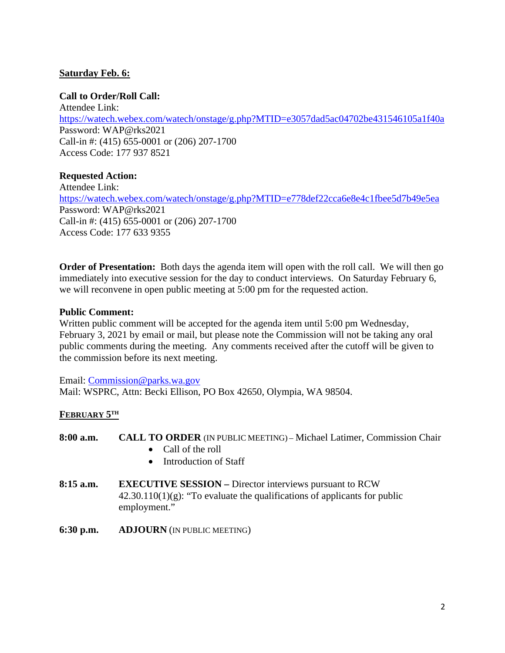## **Saturday Feb. 6:**

#### **Call to Order/Roll Call:**

Attendee Link: [https://watech.webex.com/watech/onstage/g.php?MTID=e3057dad5ac04702be431546105a1f40a](https://gcc02.safelinks.protection.outlook.com/?url=https%3A%2F%2Fwatech.webex.com%2Fwatech%2Fonstage%2Fg.php%3FMTID%3De3057dad5ac04702be431546105a1f40a&data=04%7C01%7CBecki.Ellison%40parks.wa.gov%7C8abdf95e77434b35131808d8c329f296%7C11d0e217264e400a8ba057dcc127d72d%7C0%7C0%7C637473932234952222%7CUnknown%7CTWFpbGZsb3d8eyJWIjoiMC4wLjAwMDAiLCJQIjoiV2luMzIiLCJBTiI6Ik1haWwiLCJXVCI6Mn0%3D%7C1000&sdata=GUjYCvIs66tqALoAjoQ2YoYzDBLWUFUTd2HqK60tJ8k%3D&reserved=0) Password: WAP@rks2021 Call-in #: (415) 655-0001 or (206) 207-1700 Access Code: 177 937 8521

### **Requested Action:**

Attendee Link: [https://watech.webex.com/watech/onstage/g.php?MTID=e778def22cca6e8e4c1fbee5d7b49e5ea](https://gcc02.safelinks.protection.outlook.com/?url=https%3A%2F%2Fwatech.webex.com%2Fwatech%2Fonstage%2Fg.php%3FMTID%3De778def22cca6e8e4c1fbee5d7b49e5ea&data=04%7C01%7CBecki.Ellison%40parks.wa.gov%7C8abdf95e77434b35131808d8c329f296%7C11d0e217264e400a8ba057dcc127d72d%7C0%7C0%7C637473932234962178%7CUnknown%7CTWFpbGZsb3d8eyJWIjoiMC4wLjAwMDAiLCJQIjoiV2luMzIiLCJBTiI6Ik1haWwiLCJXVCI6Mn0%3D%7C1000&sdata=jpf2RUhdVRdP94FZo%2Bu9f3kiFUkiCtdvDUjpqvKSUGY%3D&reserved=0) Password: WAP@rks2021 Call-in #: (415) 655-0001 or (206) 207-1700 Access Code: 177 633 9355

**Order of Presentation:** Both days the agenda item will open with the roll call. We will then go immediately into executive session for the day to conduct interviews. On Saturday February 6, we will reconvene in open public meeting at 5:00 pm for the requested action.

#### **Public Comment:**

Written public comment will be accepted for the agenda item until 5:00 pm Wednesday, February 3, 2021 by email or mail, but please note the Commission will not be taking any oral public comments during the meeting. Any comments received after the cutoff will be given to the commission before its next meeting.

Email: [Commission@parks.wa.gov](mailto:Commission@parks.wa.gov)  Mail: WSPRC, Attn: Becki Ellison, PO Box 42650, Olympia, WA 98504.

## **FEBRUARY 5TH**

| 8:00 a.m. |  | <b>CALL TO ORDER</b> (IN PUBLIC MEETING) – Michael Latimer, Commission Chair |  |  |
|-----------|--|------------------------------------------------------------------------------|--|--|
|-----------|--|------------------------------------------------------------------------------|--|--|

- Call of the roll
- Introduction of Staff
- **8:15 a.m. EXECUTIVE SESSION –** Director interviews pursuant to RCW  $42.30.110(1)(g)$ : "To evaluate the qualifications of applicants for public employment."
- **6:30 p.m. ADJOURN** (IN PUBLIC MEETING)